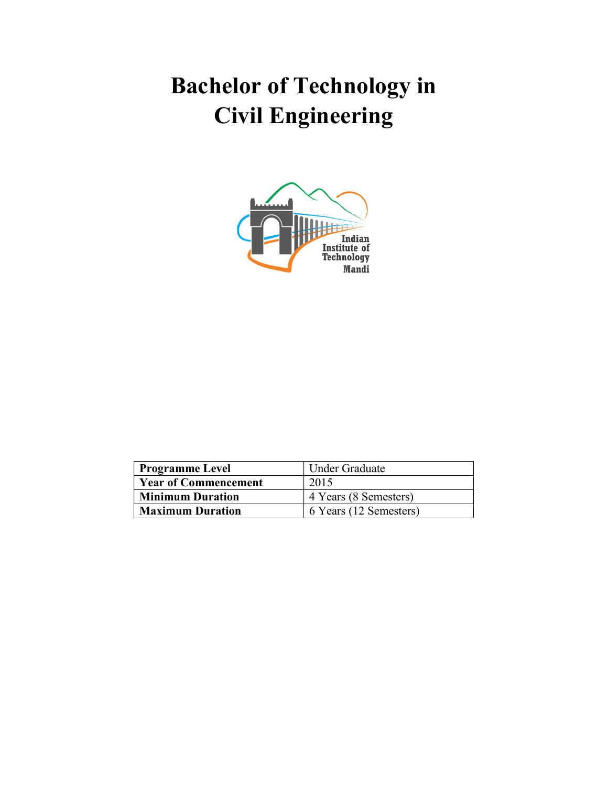# Bachelor of Technology in Civil Engineering



| <b>Programme Level</b>      | Under Graduate         |
|-----------------------------|------------------------|
| <b>Year of Commencement</b> | 2015                   |
| <b>Minimum Duration</b>     | 4 Years (8 Semesters)  |
| <b>Maximum Duration</b>     | 6 Years (12 Semesters) |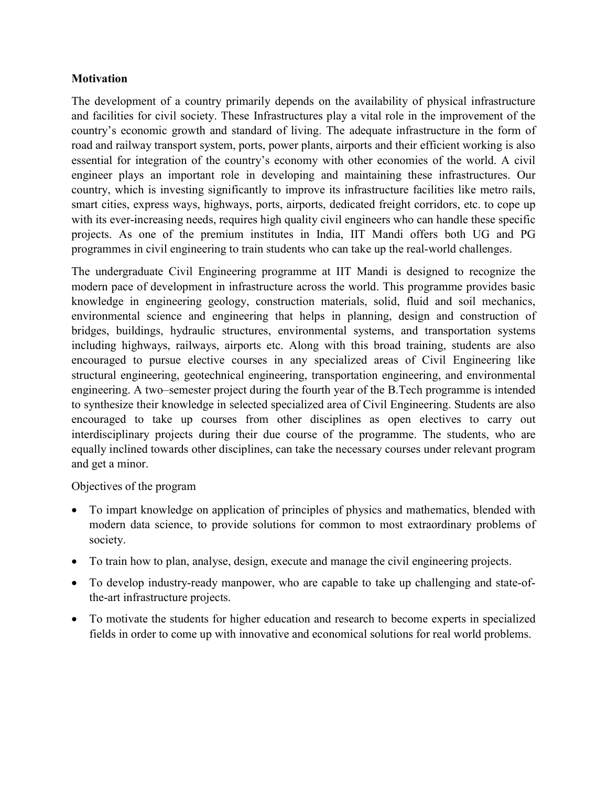#### **Motivation**

The development of a country primarily depends on the availability of physical infrastructure and facilities for civil society. These Infrastructures play a vital role in the improvement of the country's economic growth and standard of living. The adequate infrastructure in the form of road and railway transport system, ports, power plants, airports and their efficient working is also essential for integration of the country's economy with other economies of the world. A civil engineer plays an important role in developing and maintaining these infrastructures. Our country, which is investing significantly to improve its infrastructure facilities like metro rails, smart cities, express ways, highways, ports, airports, dedicated freight corridors, etc. to cope up with its ever-increasing needs, requires high quality civil engineers who can handle these specific projects. As one of the premium institutes in India, IIT Mandi offers both UG and PG programmes in civil engineering to train students who can take up the real-world challenges.

The undergraduate Civil Engineering programme at IIT Mandi is designed to recognize the modern pace of development in infrastructure across the world. This programme provides basic knowledge in engineering geology, construction materials, solid, fluid and soil mechanics, environmental science and engineering that helps in planning, design and construction of bridges, buildings, hydraulic structures, environmental systems, and transportation systems including highways, railways, airports etc. Along with this broad training, students are also encouraged to pursue elective courses in any specialized areas of Civil Engineering like structural engineering, geotechnical engineering, transportation engineering, and environmental engineering. A two–semester project during the fourth year of the B.Tech programme is intended to synthesize their knowledge in selected specialized area of Civil Engineering. Students are also encouraged to take up courses from other disciplines as open electives to carry out interdisciplinary projects during their due course of the programme. The students, who are equally inclined towards other disciplines, can take the necessary courses under relevant program and get a minor.

#### Objectives of the program

- To impart knowledge on application of principles of physics and mathematics, blended with modern data science, to provide solutions for common to most extraordinary problems of society.
- To train how to plan, analyse, design, execute and manage the civil engineering projects.
- To develop industry-ready manpower, who are capable to take up challenging and state-ofthe-art infrastructure projects.
- To motivate the students for higher education and research to become experts in specialized fields in order to come up with innovative and economical solutions for real world problems.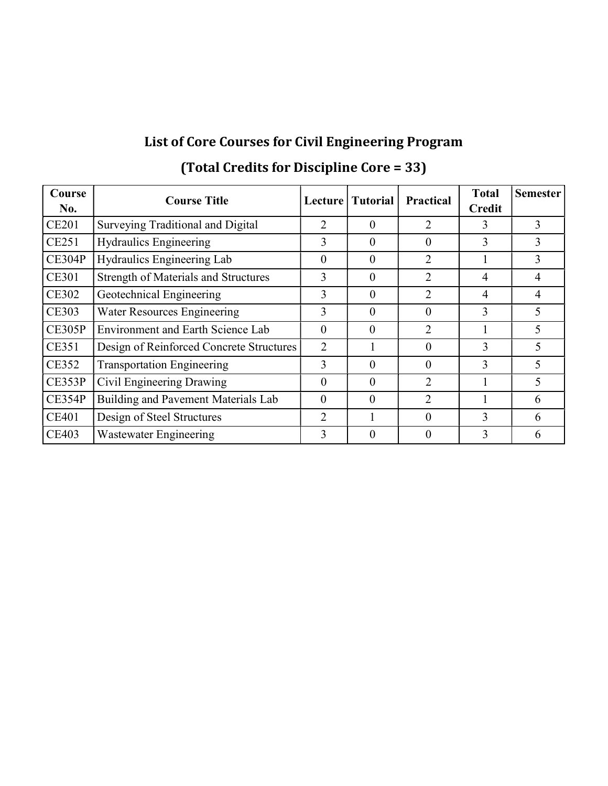### List of Core Courses for Civil Engineering Program

| Course<br>No. | <b>Course Title</b>                         | <b>Lecture</b> | <b>Tutorial</b> | <b>Practical</b> | <b>Total</b><br><b>Credit</b> | <b>Semester</b> |
|---------------|---------------------------------------------|----------------|-----------------|------------------|-------------------------------|-----------------|
| <b>CE201</b>  | Surveying Traditional and Digital           | 2              | 0               | $\overline{2}$   | 3                             | 3               |
| CE251         | <b>Hydraulics Engineering</b>               | 3              | 0               | 0                | 3                             | 3               |
| CE304P        | Hydraulics Engineering Lab                  | $\Omega$       | $\theta$        | 2                |                               | 3               |
| <b>CE301</b>  | <b>Strength of Materials and Structures</b> | 3              | 0               | 2                | 4                             | 4               |
| <b>CE302</b>  | Geotechnical Engineering                    | 3              | $\theta$        | 2                | 4                             | 4               |
| <b>CE303</b>  | Water Resources Engineering                 | 3              | 0               | 0                | 3                             | 5               |
| <b>CE305P</b> | <b>Environment and Earth Science Lab</b>    | $\theta$       | 0               | 2                |                               | 5               |
| CE351         | Design of Reinforced Concrete Structures    | $\overline{2}$ |                 | 0                | 3                             | 5               |
| CE352         | <b>Transportation Engineering</b>           | 3              | 0               | $\Omega$         | 3                             | 5               |
| CE353P        | Civil Engineering Drawing                   | 0              | 0               | $\overline{2}$   |                               | 5               |
| <b>CE354P</b> | Building and Pavement Materials Lab         | $\theta$       | $\Omega$        | 2                |                               | 6               |
| CE401         | Design of Steel Structures                  | 2              |                 | 0                | 3                             | 6               |
| <b>CE403</b>  | Wastewater Engineering                      | 3              | $\theta$        | 0                | 3                             | 6               |

### (Total Credits for Discipline Core = 33)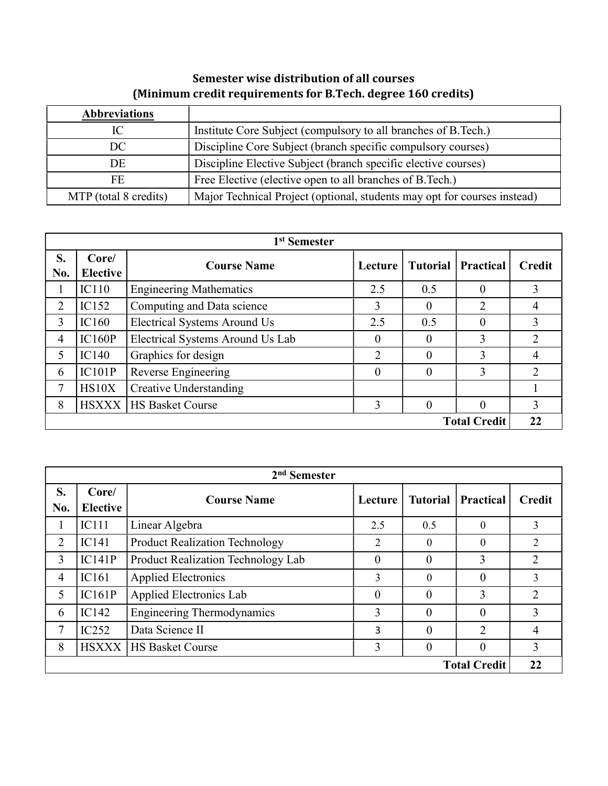| <b>Abbreviations</b>  |                                                                          |
|-----------------------|--------------------------------------------------------------------------|
| IС                    | Institute Core Subject (compulsory to all branches of B.Tech.)           |
| DC                    | Discipline Core Subject (branch specific compulsory courses)             |
| DE                    | Discipline Elective Subject (branch specific elective courses)           |
| FE                    | Free Elective (elective open to all branches of B.Tech.)                 |
| MTP (total 8 credits) | Major Technical Project (optional, students may opt for courses instead) |

#### Semester wise distribution of all courses (Minimum credit requirements for B.Tech. degree 160 credits)

| 1 <sup>st</sup> Semester |                          |                                     |                |                 |                  |               |  |  |
|--------------------------|--------------------------|-------------------------------------|----------------|-----------------|------------------|---------------|--|--|
| S.<br>No.                | Core/<br><b>Elective</b> | <b>Course Name</b>                  | Lecture        | <b>Tutorial</b> | <b>Practical</b> | <b>Credit</b> |  |  |
| -1                       | IC110                    | <b>Engineering Mathematics</b>      | 2.5            | 0.5             | $\theta$         | 3             |  |  |
| $\overline{2}$           | IC152                    | Computing and Data science          | $\overline{3}$ | $\theta$        | $\overline{2}$   | 4             |  |  |
| 3                        | IC160                    | <b>Electrical Systems Around Us</b> | 2.5            | 0.5             | $\theta$         | 3             |  |  |
| 4                        | IC160P                   | Electrical Systems Around Us Lab    | $\Omega$       | $\theta$        | 3                | 2             |  |  |
| 5                        | IC140                    | Graphics for design                 | 2              | 0               | 3                | 4             |  |  |
| 6                        | IC101P                   | Reverse Engineering                 | $\theta$       | $\theta$        | 3                |               |  |  |
| 7                        | HS10X                    | <b>Creative Understanding</b>       |                |                 |                  |               |  |  |
| 8                        | <b>HSXXX</b>             | <b>HS Basket Course</b>             | 3              | $\theta$        | $\theta$         | 3             |  |  |
| <b>Total Credit</b>      |                          |                                     |                |                 |                  | 22            |  |  |

|                     | $2nd$ Semester           |                                       |          |                 |                  |                |  |  |  |
|---------------------|--------------------------|---------------------------------------|----------|-----------------|------------------|----------------|--|--|--|
| S.<br>No.           | Core/<br><b>Elective</b> | <b>Course Name</b>                    | Lecture  | <b>Tutorial</b> | <b>Practical</b> | <b>Credit</b>  |  |  |  |
| 1                   | IC111                    | Linear Algebra                        | 2.5      | 0.5             | $\theta$         | 3              |  |  |  |
| $\overline{2}$      | IC141                    | <b>Product Realization Technology</b> | 2        | 0               | $\Omega$         | 2              |  |  |  |
| 3                   | IC141P                   | Product Realization Technology Lab    | $\theta$ | $\Omega$        | 3                | 2              |  |  |  |
| $\overline{4}$      | <b>IC161</b>             | <b>Applied Electronics</b>            | 3        | $\Omega$        | 0                | 3              |  |  |  |
| 5                   | IC161P                   | Applied Electronics Lab               | $\theta$ | $\Omega$        | 3                | $\overline{2}$ |  |  |  |
| 6                   | IC142                    | <b>Engineering Thermodynamics</b>     | 3        | $\Omega$        | 0                | 3              |  |  |  |
| 7                   | IC252                    | Data Science II                       | 3        | $\Omega$        | $\mathfrak{D}$   | $\overline{4}$ |  |  |  |
| 8                   | <b>HSXXX</b>             | <b>HS Basket Course</b>               | 3        | $\theta$        | $\theta$         | 3              |  |  |  |
| <b>Total Credit</b> |                          |                                       |          |                 |                  |                |  |  |  |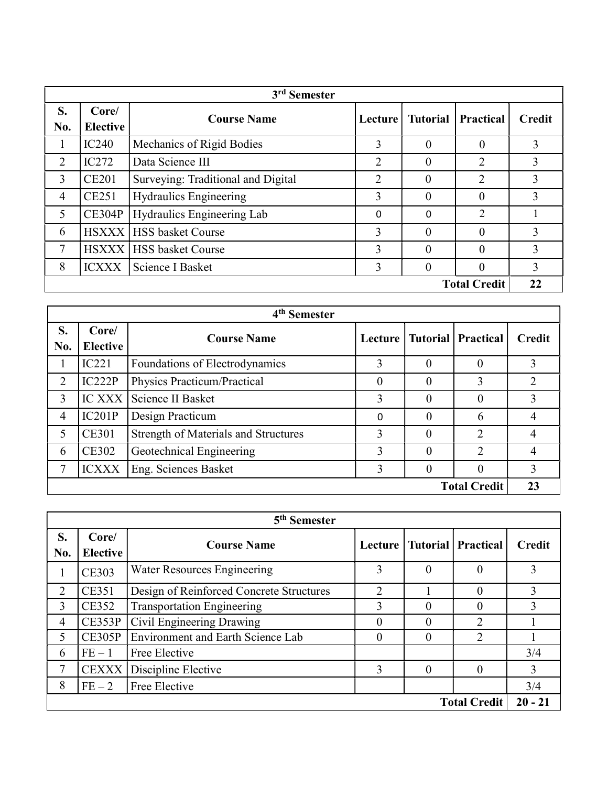|                     | 3 <sup>rd</sup> Semester |                                    |         |                 |                  |               |  |  |  |  |
|---------------------|--------------------------|------------------------------------|---------|-----------------|------------------|---------------|--|--|--|--|
| S.<br>No.           | Core/<br><b>Elective</b> | <b>Course Name</b>                 | Lecture | <b>Tutorial</b> | <b>Practical</b> | <b>Credit</b> |  |  |  |  |
| $\mathbf{1}$        | IC240                    | Mechanics of Rigid Bodies          | 3       | $\theta$        | 0                | 3             |  |  |  |  |
| 2                   | IC272                    | Data Science III                   | 2       | $\theta$        | 2                | 3             |  |  |  |  |
| $\overline{3}$      | <b>CE201</b>             | Surveying: Traditional and Digital | 2       | $\Omega$        | 2                | 3             |  |  |  |  |
| $\overline{4}$      | <b>CE251</b>             | Hydraulics Engineering             | 3       | 0               | 0                | 3             |  |  |  |  |
| 5                   | CE304P                   | Hydraulics Engineering Lab         | 0       | $\Omega$        | $\overline{2}$   |               |  |  |  |  |
| 6                   |                          | <b>HSXXX HSS basket Course</b>     | 3       | $\Omega$        | 0                | 3             |  |  |  |  |
| 7                   |                          | <b>HSXXX   HSS basket Course</b>   | 3       | $\Omega$        | 0                | 3             |  |  |  |  |
| 8                   | <b>ICXXX</b>             | Science I Basket                   | 3       | $\Omega$        | 0                | 3             |  |  |  |  |
| <b>Total Credit</b> |                          |                                    |         |                 |                  | 22            |  |  |  |  |

|                     | 4 <sup>th</sup> Semester |                                             |          |                |                                |               |  |  |  |
|---------------------|--------------------------|---------------------------------------------|----------|----------------|--------------------------------|---------------|--|--|--|
| S.<br>No.           | Core/<br><b>Elective</b> | <b>Course Name</b>                          |          |                | Lecture   Tutorial   Practical | <b>Credit</b> |  |  |  |
| $\mathbf{I}$        | IC221                    | Foundations of Electrodynamics              | 3        | $\theta$       | $\theta$                       | 3             |  |  |  |
| $\overline{2}$      | IC222P                   | Physics Practicum/Practical                 | $\theta$ | $\theta$       | 3                              | 2             |  |  |  |
| 3                   | $IC$ XXX $\parallel$     | Science II Basket                           | 3        | 0              | $\Omega$                       | 3             |  |  |  |
| $\overline{4}$      | IC201P                   | Design Practicum                            | 0        | $\theta$       | 6                              |               |  |  |  |
| 5                   | <b>CE301</b>             | <b>Strength of Materials and Structures</b> | 3        | $\theta$       | ↑                              |               |  |  |  |
| 6                   | <b>CE302</b>             | Geotechnical Engineering                    | 3        | $\theta$       | 2                              | 4             |  |  |  |
| 7                   | <b>ICXXX</b>             | Eng. Sciences Basket                        | 3        | $\overline{0}$ | 0                              | 3             |  |  |  |
| <b>Total Credit</b> |                          |                                             |          |                |                                |               |  |  |  |

|           | 5 <sup>th</sup> Semester         |                                          |                |          |                                |               |  |  |  |  |
|-----------|----------------------------------|------------------------------------------|----------------|----------|--------------------------------|---------------|--|--|--|--|
| S.<br>No. | Core/<br><b>Elective</b>         | <b>Course Name</b>                       |                |          | Lecture   Tutorial   Practical | <b>Credit</b> |  |  |  |  |
| 1         | <b>CE303</b>                     | Water Resources Engineering              | 3              | $\theta$ |                                | 3             |  |  |  |  |
| 2         | <b>CE351</b>                     | Design of Reinforced Concrete Structures | $\overline{2}$ |          |                                | 3             |  |  |  |  |
| 3         | <b>CE352</b>                     | <b>Transportation Engineering</b>        | 3              | $\theta$ |                                | 3             |  |  |  |  |
| 4         | <b>CE353P</b>                    | Civil Engineering Drawing                | $\theta$       | 0        |                                |               |  |  |  |  |
| 5         | CE305P                           | <b>Environment and Earth Science Lab</b> | $\theta$       | $\theta$ | $\mathfrak{D}$                 |               |  |  |  |  |
| 6         | $FE-1$                           | Free Elective                            |                |          |                                | 3/4           |  |  |  |  |
| 7         | <b>CEXXX</b>                     | Discipline Elective                      | 3              | $\Omega$ | $\Omega$                       | 3             |  |  |  |  |
| 8         | $FE-2$                           | Free Elective                            |                |          |                                | 3/4           |  |  |  |  |
|           | $20 - 21$<br><b>Total Credit</b> |                                          |                |          |                                |               |  |  |  |  |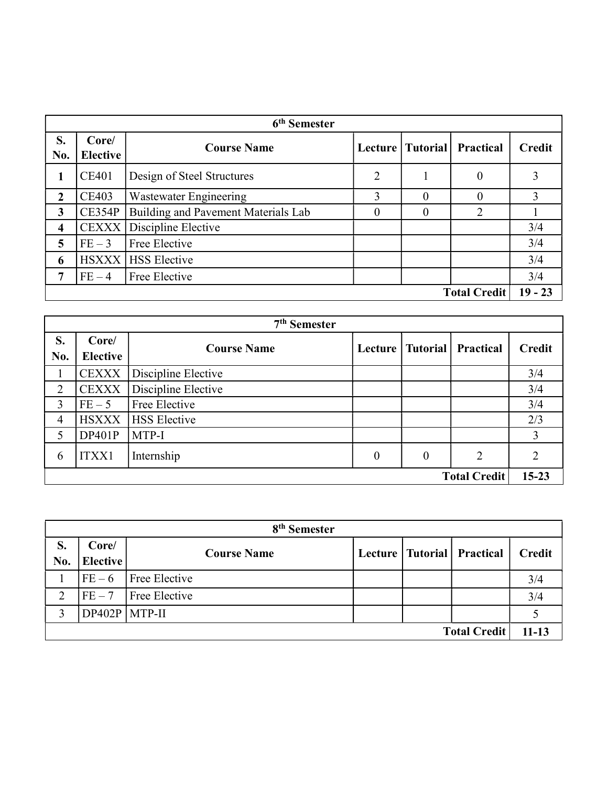| 6 <sup>th</sup> Semester |                          |                                     |                |                    |                |               |  |  |
|--------------------------|--------------------------|-------------------------------------|----------------|--------------------|----------------|---------------|--|--|
| S.<br>No.                | Core/<br><b>Elective</b> | <b>Course Name</b>                  |                | Lecture   Tutorial | Practical      | <b>Credit</b> |  |  |
| 1                        | <b>CE401</b>             | Design of Steel Structures          | $\overline{2}$ |                    | $\overline{0}$ | 3             |  |  |
| $\mathbf 2$              | <b>CE403</b>             | Wastewater Engineering              | 3              | 0                  | $\Omega$       | 3             |  |  |
| 3                        | <b>CE354P</b>            | Building and Pavement Materials Lab | 0              | 0                  |                |               |  |  |
| $\overline{\mathbf{4}}$  | <b>CEXXX</b>             | Discipline Elective                 |                |                    |                | 3/4           |  |  |
| 5                        | $FE-3$                   | Free Elective                       |                |                    |                | 3/4           |  |  |
| 6                        | <b>HSXXX</b>             | <b>HSS</b> Elective                 |                |                    |                | 3/4           |  |  |
| 7                        | $FE-4$                   | Free Elective                       |                |                    |                | 3/4           |  |  |
| <b>Total Credit</b>      |                          |                                     |                |                    |                |               |  |  |

|                                  | 7 <sup>th</sup> Semester |                     |          |                    |                |                |  |  |  |
|----------------------------------|--------------------------|---------------------|----------|--------------------|----------------|----------------|--|--|--|
| S.<br>No.                        | Core/<br><b>Elective</b> | <b>Course Name</b>  |          | Lecture   Tutorial | Practical      | <b>Credit</b>  |  |  |  |
|                                  | <b>CEXXX</b>             | Discipline Elective |          |                    |                | 3/4            |  |  |  |
| 2                                | <b>CEXXX</b>             | Discipline Elective |          |                    |                | 3/4            |  |  |  |
| 3                                | $FE-5$                   | Free Elective       |          |                    |                | 3/4            |  |  |  |
| $\overline{4}$                   | <b>HSXXX</b>             | <b>HSS</b> Elective |          |                    |                | 2/3            |  |  |  |
| 5                                | DP401P                   | MTP-I               |          |                    |                | 3              |  |  |  |
| 6                                | <b>ITXX1</b>             | Internship          | $\theta$ | $\theta$           | $\overline{2}$ | $\overline{2}$ |  |  |  |
| $15 - 23$<br><b>Total Credit</b> |                          |                     |          |                    |                |                |  |  |  |

| 8 <sup>th</sup> Semester |                          |                    |  |  |                                |               |  |
|--------------------------|--------------------------|--------------------|--|--|--------------------------------|---------------|--|
| S.<br>No.                | Core/<br><b>Elective</b> | <b>Course Name</b> |  |  | Lecture   Tutorial   Practical | <b>Credit</b> |  |
|                          | $FE-6$                   | Free Elective      |  |  |                                | 3/4           |  |
| $\overline{2}$           | $FE-7$                   | Free Elective      |  |  |                                | 3/4           |  |
| 3                        | $DP402P$ MTP-II          |                    |  |  |                                |               |  |
| <b>Total Credit</b>      |                          |                    |  |  |                                | $11 - 13$     |  |